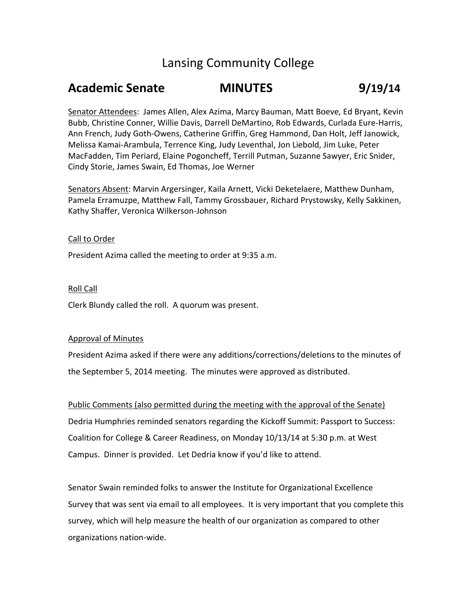# Lansing Community College

# **Academic Senate MINUTES 9/19/14**

Senator Attendees: James Allen, Alex Azima, Marcy Bauman, Matt Boeve, Ed Bryant, Kevin Bubb, Christine Conner, Willie Davis, Darrell DeMartino, Rob Edwards, Curlada Eure-Harris, Ann French, Judy Goth-Owens, Catherine Griffin, Greg Hammond, Dan Holt, Jeff Janowick, Melissa Kamai-Arambula, Terrence King, Judy Leventhal, Jon Liebold, Jim Luke, Peter MacFadden, Tim Periard, Elaine Pogoncheff, Terrill Putman, Suzanne Sawyer, Eric Snider, Cindy Storie, James Swain, Ed Thomas, Joe Werner

Senators Absent: Marvin Argersinger, Kaila Arnett, Vicki Deketelaere, Matthew Dunham, Pamela Erramuzpe, Matthew Fall, Tammy Grossbauer, Richard Prystowsky, Kelly Sakkinen, Kathy Shaffer, Veronica Wilkerson-Johnson

## Call to Order

President Azima called the meeting to order at 9:35 a.m.

## Roll Call

Clerk Blundy called the roll. A quorum was present.

### Approval of Minutes

President Azima asked if there were any additions/corrections/deletions to the minutes of the September 5, 2014 meeting. The minutes were approved as distributed.

Public Comments (also permitted during the meeting with the approval of the Senate) Dedria Humphries reminded senators regarding the Kickoff Summit: Passport to Success: Coalition for College & Career Readiness, on Monday 10/13/14 at 5:30 p.m. at West Campus. Dinner is provided. Let Dedria know if you'd like to attend.

Senator Swain reminded folks to answer the Institute for Organizational Excellence Survey that was sent via email to all employees. It is very important that you complete this survey, which will help measure the health of our organization as compared to other organizations nation-wide.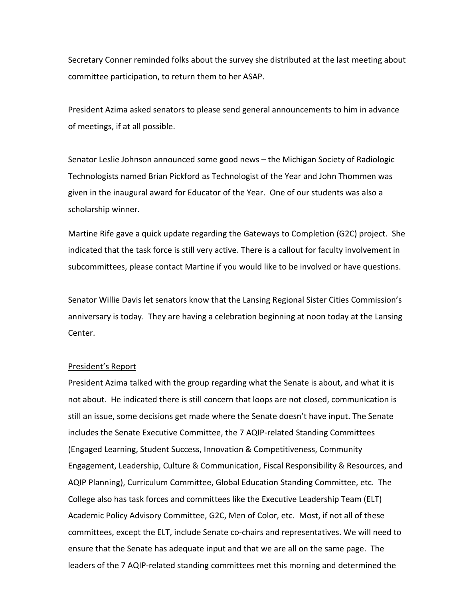Secretary Conner reminded folks about the survey she distributed at the last meeting about committee participation, to return them to her ASAP.

President Azima asked senators to please send general announcements to him in advance of meetings, if at all possible.

Senator Leslie Johnson announced some good news – the Michigan Society of Radiologic Technologists named Brian Pickford as Technologist of the Year and John Thommen was given in the inaugural award for Educator of the Year. One of our students was also a scholarship winner.

Martine Rife gave a quick update regarding the Gateways to Completion (G2C) project. She indicated that the task force is still very active. There is a callout for faculty involvement in subcommittees, please contact Martine if you would like to be involved or have questions.

Senator Willie Davis let senators know that the Lansing Regional Sister Cities Commission's anniversary is today. They are having a celebration beginning at noon today at the Lansing Center.

#### President's Report

President Azima talked with the group regarding what the Senate is about, and what it is not about. He indicated there is still concern that loops are not closed, communication is still an issue, some decisions get made where the Senate doesn't have input. The Senate includes the Senate Executive Committee, the 7 AQIP-related Standing Committees (Engaged Learning, Student Success, Innovation & Competitiveness, Community Engagement, Leadership, Culture & Communication, Fiscal Responsibility & Resources, and AQIP Planning), Curriculum Committee, Global Education Standing Committee, etc. The College also has task forces and committees like the Executive Leadership Team (ELT) Academic Policy Advisory Committee, G2C, Men of Color, etc. Most, if not all of these committees, except the ELT, include Senate co-chairs and representatives. We will need to ensure that the Senate has adequate input and that we are all on the same page. The leaders of the 7 AQIP-related standing committees met this morning and determined the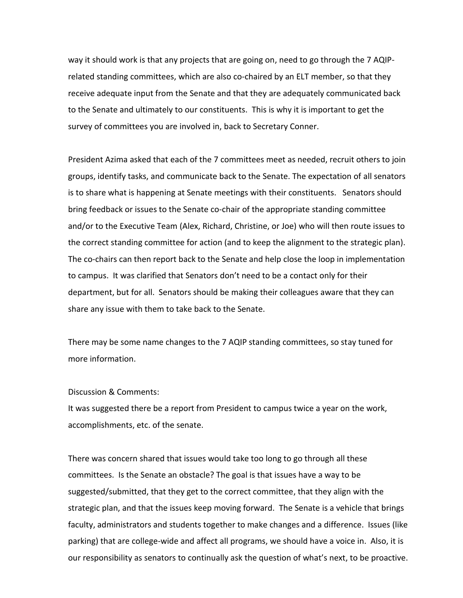way it should work is that any projects that are going on, need to go through the 7 AQIPrelated standing committees, which are also co-chaired by an ELT member, so that they receive adequate input from the Senate and that they are adequately communicated back to the Senate and ultimately to our constituents. This is why it is important to get the survey of committees you are involved in, back to Secretary Conner.

President Azima asked that each of the 7 committees meet as needed, recruit others to join groups, identify tasks, and communicate back to the Senate. The expectation of all senators is to share what is happening at Senate meetings with their constituents. Senators should bring feedback or issues to the Senate co-chair of the appropriate standing committee and/or to the Executive Team (Alex, Richard, Christine, or Joe) who will then route issues to the correct standing committee for action (and to keep the alignment to the strategic plan). The co-chairs can then report back to the Senate and help close the loop in implementation to campus. It was clarified that Senators don't need to be a contact only for their department, but for all. Senators should be making their colleagues aware that they can share any issue with them to take back to the Senate.

There may be some name changes to the 7 AQIP standing committees, so stay tuned for more information.

### Discussion & Comments:

It was suggested there be a report from President to campus twice a year on the work, accomplishments, etc. of the senate.

There was concern shared that issues would take too long to go through all these committees. Is the Senate an obstacle? The goal is that issues have a way to be suggested/submitted, that they get to the correct committee, that they align with the strategic plan, and that the issues keep moving forward. The Senate is a vehicle that brings faculty, administrators and students together to make changes and a difference. Issues (like parking) that are college-wide and affect all programs, we should have a voice in. Also, it is our responsibility as senators to continually ask the question of what's next, to be proactive.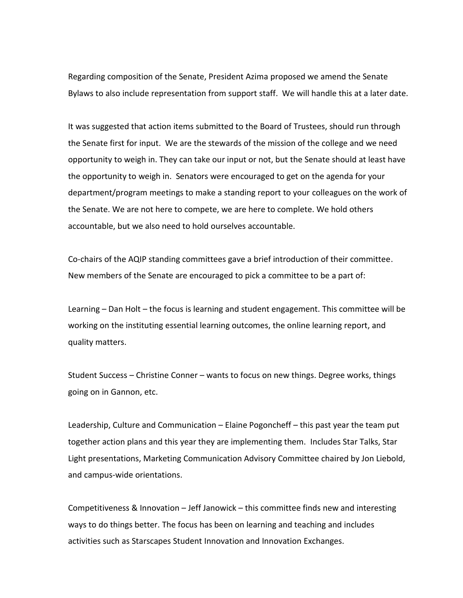Regarding composition of the Senate, President Azima proposed we amend the Senate Bylaws to also include representation from support staff. We will handle this at a later date.

It was suggested that action items submitted to the Board of Trustees, should run through the Senate first for input. We are the stewards of the mission of the college and we need opportunity to weigh in. They can take our input or not, but the Senate should at least have the opportunity to weigh in. Senators were encouraged to get on the agenda for your department/program meetings to make a standing report to your colleagues on the work of the Senate. We are not here to compete, we are here to complete. We hold others accountable, but we also need to hold ourselves accountable.

Co-chairs of the AQIP standing committees gave a brief introduction of their committee. New members of the Senate are encouraged to pick a committee to be a part of:

Learning – Dan Holt – the focus is learning and student engagement. This committee will be working on the instituting essential learning outcomes, the online learning report, and quality matters.

Student Success – Christine Conner – wants to focus on new things. Degree works, things going on in Gannon, etc.

Leadership, Culture and Communication – Elaine Pogoncheff – this past year the team put together action plans and this year they are implementing them. Includes Star Talks, Star Light presentations, Marketing Communication Advisory Committee chaired by Jon Liebold, and campus-wide orientations.

Competitiveness & Innovation – Jeff Janowick – this committee finds new and interesting ways to do things better. The focus has been on learning and teaching and includes activities such as Starscapes Student Innovation and Innovation Exchanges.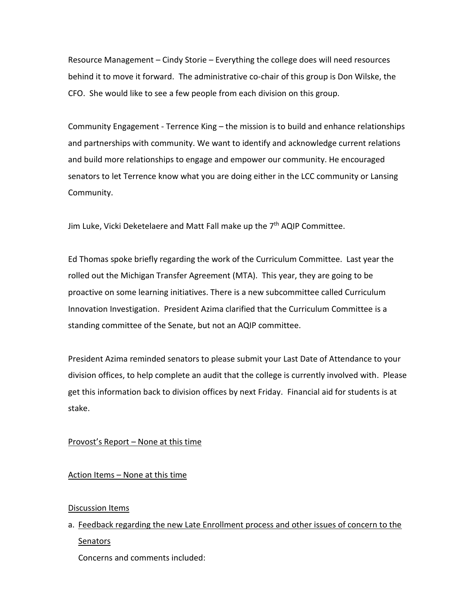Resource Management – Cindy Storie – Everything the college does will need resources behind it to move it forward. The administrative co-chair of this group is Don Wilske, the CFO. She would like to see a few people from each division on this group.

Community Engagement - Terrence King – the mission is to build and enhance relationships and partnerships with community. We want to identify and acknowledge current relations and build more relationships to engage and empower our community. He encouraged senators to let Terrence know what you are doing either in the LCC community or Lansing Community.

Jim Luke, Vicki Deketelaere and Matt Fall make up the 7<sup>th</sup> AQIP Committee.

Ed Thomas spoke briefly regarding the work of the Curriculum Committee. Last year the rolled out the Michigan Transfer Agreement (MTA). This year, they are going to be proactive on some learning initiatives. There is a new subcommittee called Curriculum Innovation Investigation. President Azima clarified that the Curriculum Committee is a standing committee of the Senate, but not an AQIP committee.

President Azima reminded senators to please submit your Last Date of Attendance to your division offices, to help complete an audit that the college is currently involved with. Please get this information back to division offices by next Friday. Financial aid for students is at stake.

# Provost's Report – None at this time

# Action Items – None at this time

# Discussion Items

a. Feedback regarding the new Late Enrollment process and other issues of concern to the Senators

Concerns and comments included: